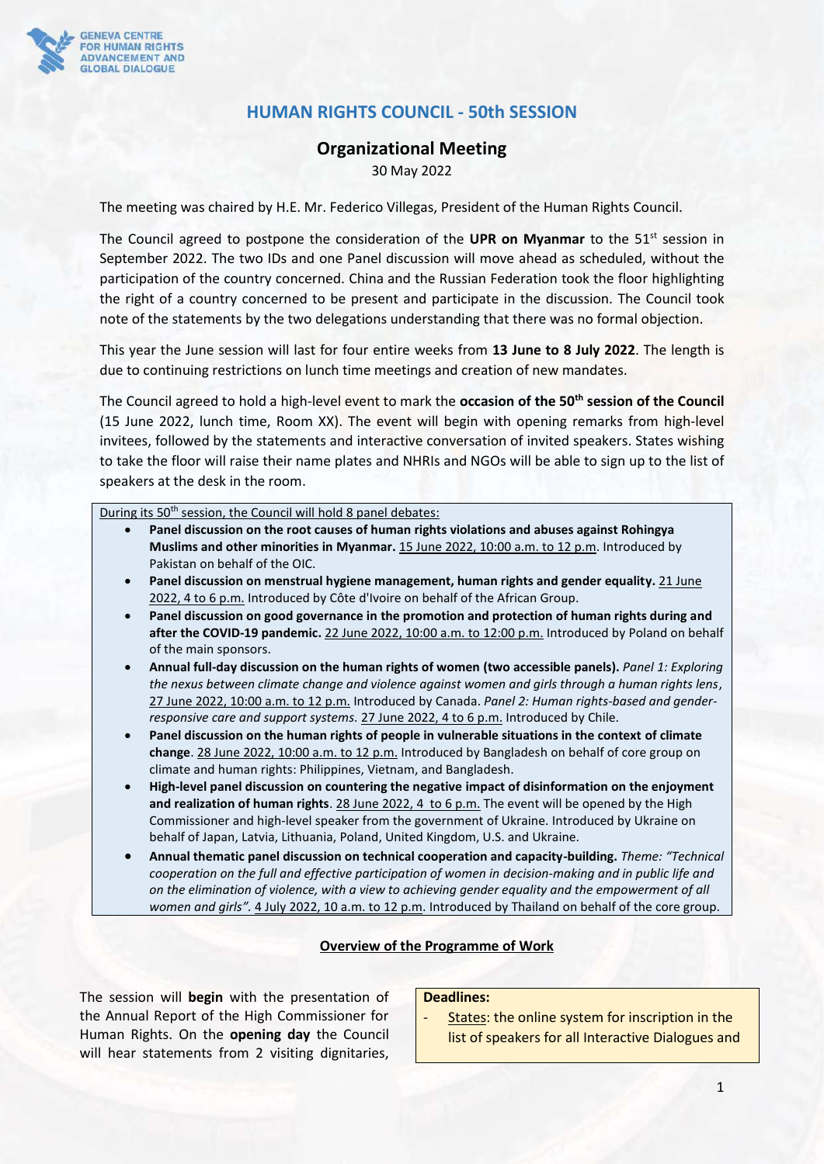

## **HUMAN RIGHTS COUNCIL - 50th SESSION**

#### **Organizational Meeting**

30 May 2022

The meeting was chaired by H.E. Mr. Federico Villegas, President of the Human Rights Council.

The Council agreed to postpone the consideration of the UPR on Myanmar to the 51<sup>st</sup> session in September 2022. The two IDs and one Panel discussion will move ahead as scheduled, without the participation of the country concerned. China and the Russian Federation took the floor highlighting the right of a country concerned to be present and participate in the discussion. The Council took note of the statements by the two delegations understanding that there was no formal objection.

This year the June session will last for four entire weeks from **13 June to 8 July 2022**. The length is due to continuing restrictions on lunch time meetings and creation of new mandates.

The Council agreed to hold a high-level event to mark the **occasion of the 50th session of the Council** (15 June 2022, lunch time, Room XX). The event will begin with opening remarks from high-level invitees, followed by the statements and interactive conversation of invited speakers. States wishing to take the floor will raise their name plates and NHRIs and NGOs will be able to sign up to the list of speakers at the desk in the room.

During its 50<sup>th</sup> session, the Council will hold 8 panel debates:

- **Panel discussion on the root causes of human rights violations and abuses against Rohingya Muslims and other minorities in Myanmar.** 15 June 2022, 10:00 a.m. to 12 p.m. Introduced by Pakistan on behalf of the OIC.
- **Panel discussion on menstrual hygiene management, human rights and gender equality.** 21 June 2022, 4 to 6 p.m. Introduced by Côte d'Ivoire on behalf of the African Group.
- **Panel discussion on good governance in the promotion and protection of human rights during and after the COVID-19 pandemic.** 22 June 2022, 10:00 a.m. to 12:00 p.m. Introduced by Poland on behalf of the main sponsors.
- **Annual full-day discussion on the human rights of women (two accessible panels).** *Panel 1: Exploring the nexus between climate change and violence against women and girls through a human rights lens*, 27 June 2022, 10:00 a.m. to 12 p.m. Introduced by Canada. *Panel 2: Human rights-based and genderresponsive care and support systems.* 27 June 2022, 4 to 6 p.m. Introduced by Chile.
- **Panel discussion on the human rights of people in vulnerable situations in the context of climate change**. 28 June 2022, 10:00 a.m. to 12 p.m. Introduced by Bangladesh on behalf of core group on climate and human rights: Philippines, Vietnam, and Bangladesh.
- **High-level panel discussion on countering the negative impact of disinformation on the enjoyment and realization of human rights**. 28 June 2022, 4 to 6 p.m. The event will be opened by the High Commissioner and high-level speaker from the government of Ukraine. Introduced by Ukraine on behalf of Japan, Latvia, Lithuania, Poland, United Kingdom, U.S. and Ukraine.
- **Annual thematic panel discussion on technical cooperation and capacity-building.** *Theme: "Technical cooperation on the full and effective participation of women in decision-making and in public life and on the elimination of violence, with a view to achieving gender equality and the empowerment of all women and girls".* 4 July 2022, 10 a.m. to 12 p.m. Introduced by Thailand on behalf of the core group.

#### **Overview of the Programme of Work**

The session will **begin** with the presentation of the Annual Report of the High Commissioner for Human Rights. On the **opening day** the Council will hear statements from 2 visiting dignitaries,

### **Deadlines:**

States: the online system for inscription in the list of speakers for all Interactive Dialogues and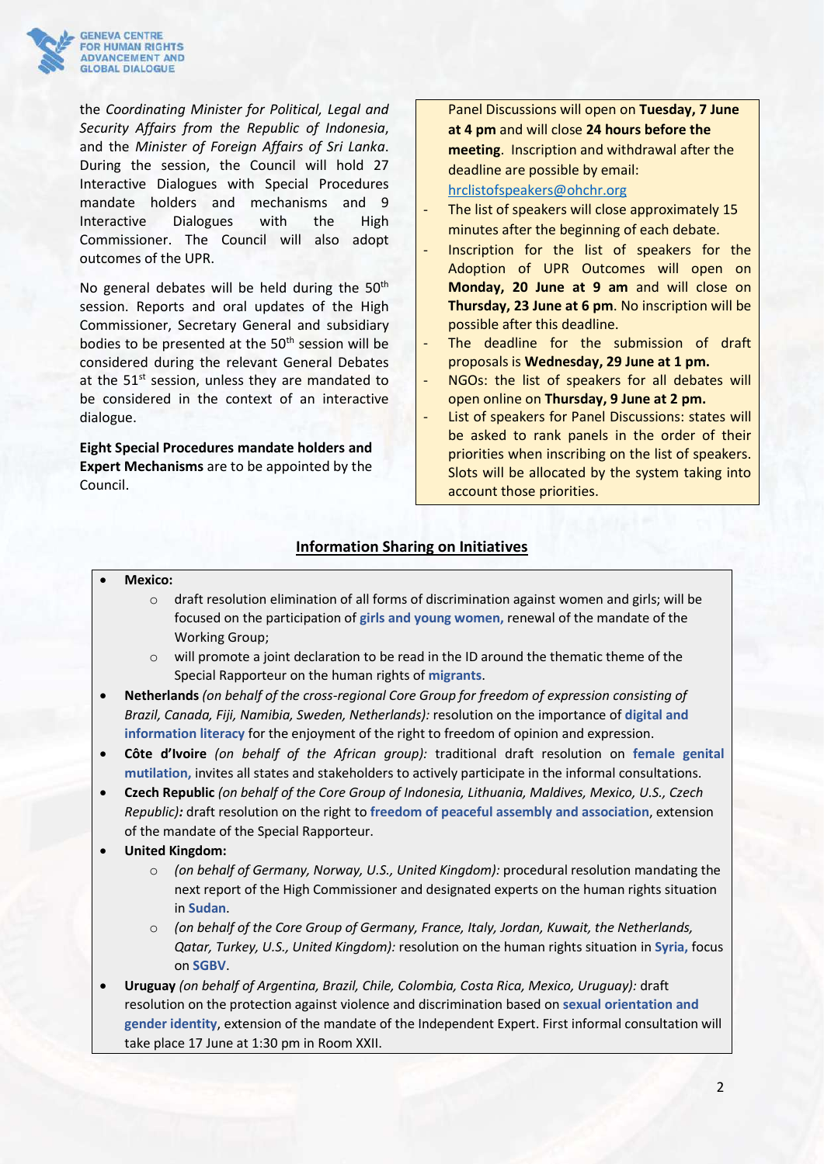

the *Coordinating Minister for Political, Legal and Security Affairs from the Republic of Indonesia*, and the *Minister of Foreign Affairs of Sri Lanka*. During the session, the Council will hold 27 Interactive Dialogues with Special Procedures mandate holders and mechanisms and 9 Interactive Dialogues with the High Commissioner. The Council will also adopt outcomes of the UPR.

No general debates will be held during the 50<sup>th</sup> session. Reports and oral updates of the High Commissioner, Secretary General and subsidiary bodies to be presented at the 50<sup>th</sup> session will be considered during the relevant General Debates at the 51<sup>st</sup> session, unless they are mandated to be considered in the context of an interactive dialogue.

**Eight Special Procedures mandate holders and Expert Mechanisms** are to be appointed by the Council.

Panel Discussions will open on **Tuesday, 7 June at 4 pm** and will close **24 hours before the meeting**. Inscription and withdrawal after the deadline are possible by email: [hrclistofspeakers@ohchr.org](mailto:hrclistofspeakers@ohchr.org)

# The list of speakers will close approximately 15

- minutes after the beginning of each debate.
- Inscription for the list of speakers for the Adoption of UPR Outcomes will open on **Monday, 20 June at 9 am** and will close on **Thursday, 23 June at 6 pm**. No inscription will be possible after this deadline.
- The deadline for the submission of draft proposals is **Wednesday, 29 June at 1 pm.**
- NGOs: the list of speakers for all debates will open online on **Thursday, 9 June at 2 pm.**
- List of speakers for Panel Discussions: states will be asked to rank panels in the order of their priorities when inscribing on the list of speakers. Slots will be allocated by the system taking into account those priorities.

## **Information Sharing on Initiatives**

- **Mexico:** 
	- $\circ$  draft resolution elimination of all forms of discrimination against women and girls; will be focused on the participation of **girls and young women,** renewal of the mandate of the Working Group;
	- o will promote a joint declaration to be read in the ID around the thematic theme of the Special Rapporteur on the human rights of **migrants**.
- **Netherlands** *(on behalf of the cross-regional Core Group for freedom of expression consisting of Brazil, Canada, Fiji, Namibia, Sweden, Netherlands):* resolution on the importance of **digital and information literacy** for the enjoyment of the right to freedom of opinion and expression.
- **Côte d'Ivoire** *(on behalf of the African group):* traditional draft resolution on **female genital mutilation,** invites all states and stakeholders to actively participate in the informal consultations.
- **Czech Republic** *(on behalf of the Core Group of Indonesia, Lithuania, Maldives, Mexico, U.S., Czech Republic):* draft resolution on the right to **freedom of peaceful assembly and association**, extension of the mandate of the Special Rapporteur.
- **United Kingdom:** 
	- o *(on behalf of Germany, Norway, U.S., United Kingdom):* procedural resolution mandating the next report of the High Commissioner and designated experts on the human rights situation in **Sudan**.
	- o *(on behalf of the Core Group of Germany, France, Italy, Jordan, Kuwait, the Netherlands, Qatar, Turkey, U.S., United Kingdom):* resolution on the human rights situation in **Syria,** focus on **SGBV**.
- **Uruguay** *(on behalf of Argentina, Brazil, Chile, Colombia, Costa Rica, Mexico, Uruguay):* draft resolution on the protection against violence and discrimination based on **sexual orientation and gender identity**, extension of the mandate of the Independent Expert. First informal consultation will take place 17 June at 1:30 pm in Room XXII.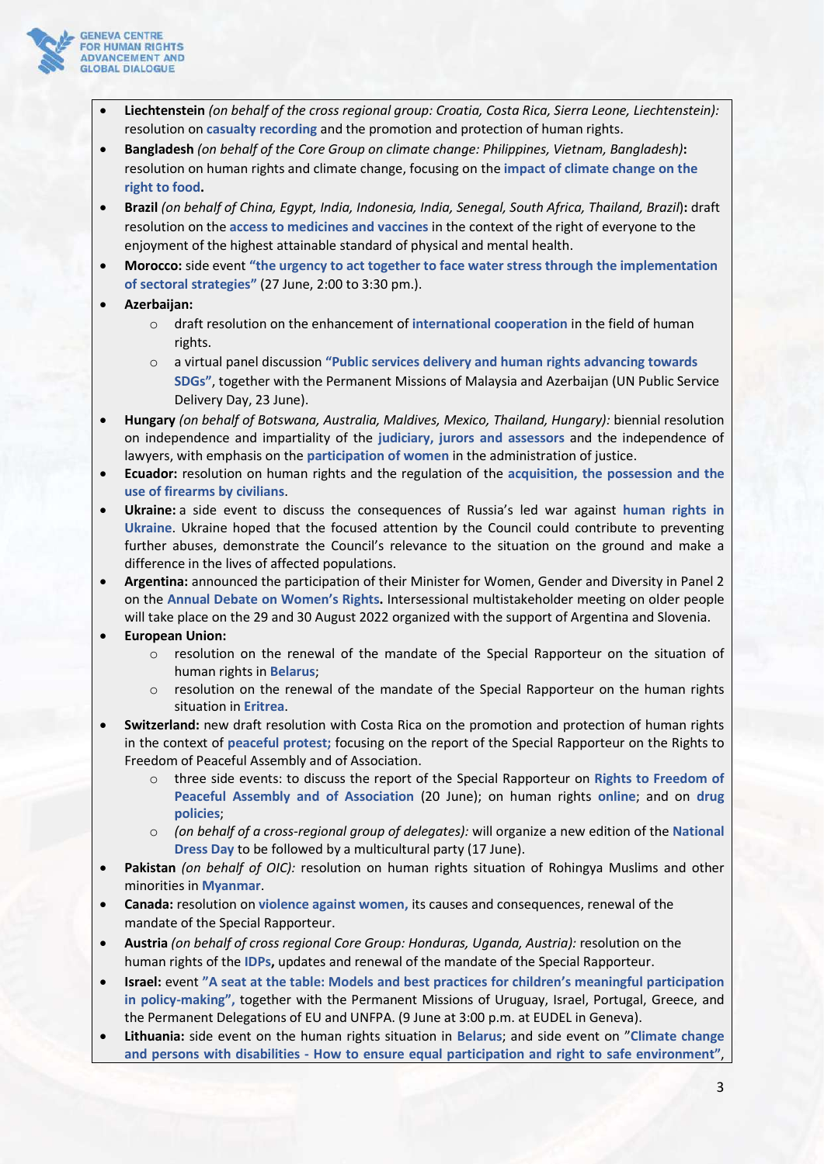

- **Liechtenstein** *(on behalf of the cross regional group: Croatia, Costa Rica, Sierra Leone, Liechtenstein):* resolution on **casualty recording** and the promotion and protection of human rights.
- **Bangladesh** *(on behalf of the Core Group on climate change: Philippines, Vietnam, Bangladesh)***:** resolution on human rights and climate change, focusing on the **impact of climate change on the right to food.**
- **Brazil** *(on behalf of China, Egypt, India, Indonesia, India, Senegal, South Africa, Thailand, Brazil*)**:** draft resolution on the **access to medicines and vaccines** in the context of the right of everyone to the enjoyment of the highest attainable standard of physical and mental health.
- **Morocco:** side event **"the urgency to act together to face water stress through the implementation of sectoral strategies"** (27 June, 2:00 to 3:30 pm.).
- **Azerbaijan:**
	- o draft resolution on the enhancement of **international cooperation** in the field of human rights.
	- o a virtual panel discussion **"Public services delivery and human rights advancing towards SDGs"**, together with the Permanent Missions of Malaysia and Azerbaijan (UN Public Service Delivery Day, 23 June).
- **Hungary** *(on behalf of Botswana, Australia, Maldives, Mexico, Thailand, Hungary):* biennial resolution on independence and impartiality of the **judiciary, jurors and assessors** and the independence of lawyers, with emphasis on the **participation of women** in the administration of justice.
- **Ecuador:** resolution on human rights and the regulation of the **acquisition, the possession and the use of firearms by civilians**.
- **Ukraine:** a side event to discuss the consequences of Russia's led war against **human rights in Ukraine**. Ukraine hoped that the focused attention by the Council could contribute to preventing further abuses, demonstrate the Council's relevance to the situation on the ground and make a difference in the lives of affected populations.
- **Argentina:** announced the participation of their Minister for Women, Gender and Diversity in Panel 2 on the **Annual Debate on Women's Rights.** Intersessional multistakeholder meeting on older people will take place on the 29 and 30 August 2022 organized with the support of Argentina and Slovenia.
- **European Union:** 
	- $\circ$  resolution on the renewal of the mandate of the Special Rapporteur on the situation of human rights in **Belarus**;
	- $\circ$  resolution on the renewal of the mandate of the Special Rapporteur on the human rights situation in **Eritrea**.
- **Switzerland:** new draft resolution with Costa Rica on the promotion and protection of human rights in the context of **peaceful protest;** focusing on the report of the Special Rapporteur on the Rights to Freedom of Peaceful Assembly and of Association.
	- o three side events: to discuss the report of the Special Rapporteur on **Rights to Freedom of Peaceful Assembly and of Association** (20 June); on human rights **online**; and on **drug policies**;
	- o *(on behalf of a cross-regional group of delegates):* will organize a new edition of the **National Dress Day** to be followed by a multicultural party (17 June).
- **Pakistan** *(on behalf of OIC):* resolution on human rights situation of Rohingya Muslims and other minorities in **Myanmar**.
- **Canada:** resolution on **violence against women,** its causes and consequences, renewal of the mandate of the Special Rapporteur.
- **Austria** *(on behalf of cross regional Core Group: Honduras, Uganda, Austria):* resolution on the human rights of the **IDPs,** updates and renewal of the mandate of the Special Rapporteur.
- **Israel:** event **"A seat at the table: Models and best practices for children's meaningful participation in policy-making",** together with the Permanent Missions of Uruguay, Israel, Portugal, Greece, and the Permanent Delegations of EU and UNFPA. (9 June at 3:00 p.m. at EUDEL in Geneva).
- **Lithuania:** side event on the human rights situation in **Belarus**; and side event on "**Climate change and persons with disabilities - How to ensure equal participation and right to safe environment"**,